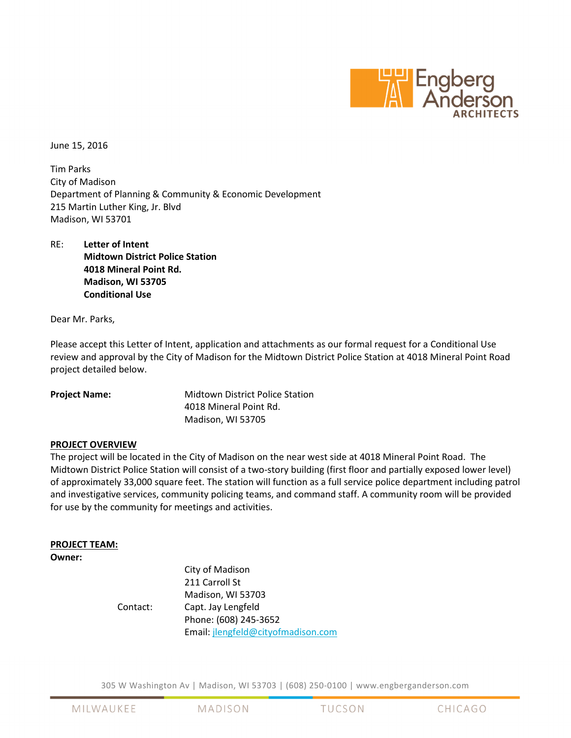

June 15, 2016

Tim Parks City of Madison Department of Planning & Community & Economic Development 215 Martin Luther King, Jr. Blvd Madison, WI 53701

RE: Letter of Intent Midtown District Police Station 4018 Mineral Point Rd. Madison, WI 53705 Conditional Use

Dear Mr. Parks,

Please accept this Letter of Intent, application and attachments as our formal request for a Conditional Use review and approval by the City of Madison for the Midtown District Police Station at 4018 Mineral Point Road project detailed below.

Project Name: Midtown District Police Station 4018 Mineral Point Rd. Madison, WI 53705

# PROJECT OVERVIEW

The project will be located in the City of Madison on the near west side at 4018 Mineral Point Road. The Midtown District Police Station will consist of a two-story building (first floor and partially exposed lower level) of approximately 33,000 square feet. The station will function as a full service police department including patrol and investigative services, community policing teams, and command staff. A community room will be provided for use by the community for meetings and activities.

## PROJECT TEAM:

## Owner:

 City of Madison 211 Carroll St Madison, WI 53703 Contact: Capt. Jay Lengfeld Phone: (608) 245-3652 Email: jlengfeld@cityofmadison.com

305 W Washington Av | Madison, WI 53703 | (608) 250-0100 | www.engberganderson.com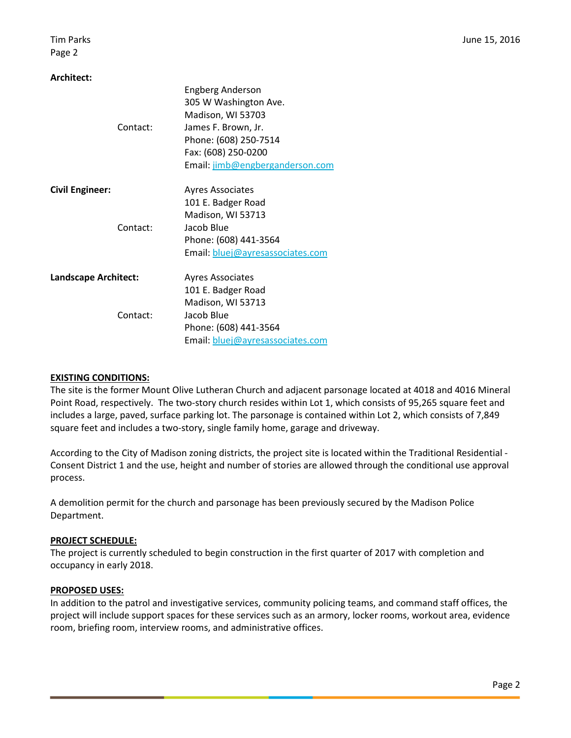Page 2

## Architect:

|                        | <b>Engberg Anderson</b>          |
|------------------------|----------------------------------|
|                        | 305 W Washington Ave.            |
|                        | Madison, WI 53703                |
| Contact:               | James F. Brown, Jr.              |
|                        | Phone: (608) 250-7514            |
|                        | Fax: (608) 250-0200              |
|                        | Email: jimb@engberganderson.com  |
| <b>Civil Engineer:</b> | <b>Ayres Associates</b>          |
|                        | 101 E. Badger Road               |
|                        | Madison, WI 53713                |
| Contact:               | Jacob Blue                       |
|                        | Phone: (608) 441-3564            |
|                        | Email: bluej@ayresassociates.com |
| Landscape Architect:   | <b>Ayres Associates</b>          |
|                        | 101 E. Badger Road               |
|                        | Madison, WI 53713                |
| Contact:               | Jacob Blue                       |
|                        | Phone: (608) 441-3564            |
|                        | Email: bluej@ayresassociates.com |

## EXISTING CONDITIONS:

The site is the former Mount Olive Lutheran Church and adjacent parsonage located at 4018 and 4016 Mineral Point Road, respectively. The two-story church resides within Lot 1, which consists of 95,265 square feet and includes a large, paved, surface parking lot. The parsonage is contained within Lot 2, which consists of 7,849 square feet and includes a two-story, single family home, garage and driveway.

According to the City of Madison zoning districts, the project site is located within the Traditional Residential - Consent District 1 and the use, height and number of stories are allowed through the conditional use approval process.

A demolition permit for the church and parsonage has been previously secured by the Madison Police Department.

## PROJECT SCHEDULE:

The project is currently scheduled to begin construction in the first quarter of 2017 with completion and occupancy in early 2018.

## PROPOSED USES:

In addition to the patrol and investigative services, community policing teams, and command staff offices, the project will include support spaces for these services such as an armory, locker rooms, workout area, evidence room, briefing room, interview rooms, and administrative offices.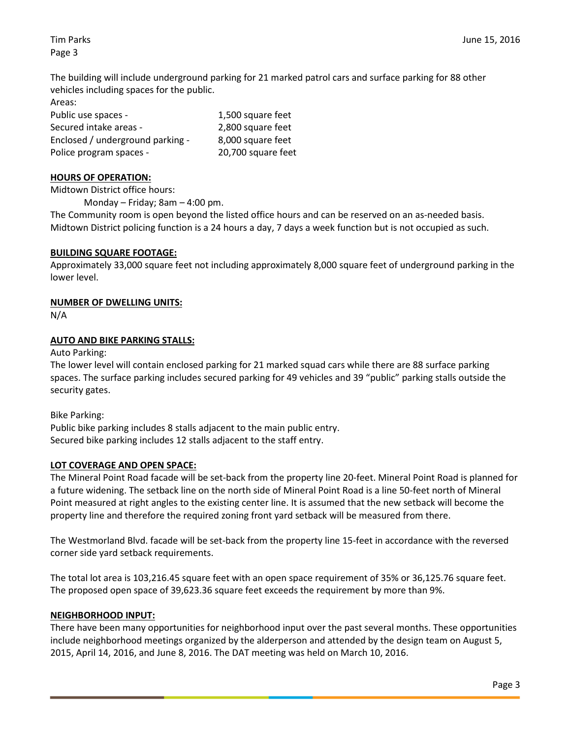Tim Parks June 15, 2016

Page 3

The building will include underground parking for 21 marked patrol cars and surface parking for 88 other vehicles including spaces for the public.

Areas:

| Public use spaces -              | 1,500 square feet  |
|----------------------------------|--------------------|
| Secured intake areas -           | 2,800 square feet  |
| Enclosed / underground parking - | 8,000 square feet  |
| Police program spaces -          | 20,700 square feet |

## HOURS OF OPERATION:

Midtown District office hours:

Monday – Friday; 8am – 4:00 pm.

The Community room is open beyond the listed office hours and can be reserved on an as-needed basis. Midtown District policing function is a 24 hours a day, 7 days a week function but is not occupied as such.

## BUILDING SQUARE FOOTAGE:

Approximately 33,000 square feet not including approximately 8,000 square feet of underground parking in the lower level.

## NUMBER OF DWELLING UNITS:

N/A

# AUTO AND BIKE PARKING STALLS:

Auto Parking:

The lower level will contain enclosed parking for 21 marked squad cars while there are 88 surface parking spaces. The surface parking includes secured parking for 49 vehicles and 39 "public" parking stalls outside the security gates.

Bike Parking:

Public bike parking includes 8 stalls adjacent to the main public entry. Secured bike parking includes 12 stalls adjacent to the staff entry.

## LOT COVERAGE AND OPEN SPACE:

The Mineral Point Road facade will be set-back from the property line 20-feet. Mineral Point Road is planned for a future widening. The setback line on the north side of Mineral Point Road is a line 50-feet north of Mineral Point measured at right angles to the existing center line. It is assumed that the new setback will become the property line and therefore the required zoning front yard setback will be measured from there.

The Westmorland Blvd. facade will be set-back from the property line 15-feet in accordance with the reversed corner side yard setback requirements.

The total lot area is 103,216.45 square feet with an open space requirement of 35% or 36,125.76 square feet. The proposed open space of 39,623.36 square feet exceeds the requirement by more than 9%.

## NEIGHBORHOOD INPUT:

There have been many opportunities for neighborhood input over the past several months. These opportunities include neighborhood meetings organized by the alderperson and attended by the design team on August 5, 2015, April 14, 2016, and June 8, 2016. The DAT meeting was held on March 10, 2016.